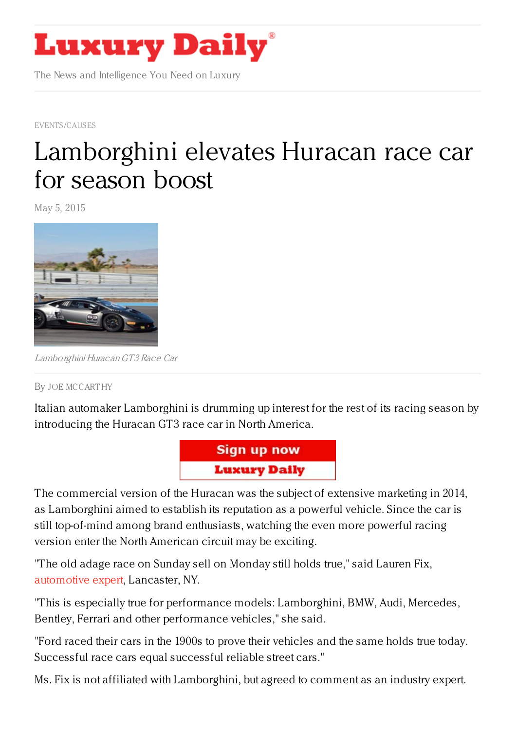

The News and Intelligence You Need on Luxury

[EVENTS/CAUSES](https://www.luxurydaily.com/category/news/events/)

## [Lamborghini](https://www.luxurydaily.com/lamborghini-elevates-huracan-race-car-for-season-boost/) elevates Huracan race car for season boost

May 5, 2015



Lamborghini HuracanGT3 Race Car

## By JOE [MCCART](/author/joe-mccarthy) HY

Italian automaker Lamborghini is drumming up interest for the rest of its racing season by introducing the Huracan GT3 race car in North America.



The commercial version of the Huracan was the subject of extensive marketing in 2014, as Lamborghini aimed to establish its reputation as a powerful vehicle. Since the car is still top-of-mind among brand enthusiasts, watching the even more powerful racing version enter the North American circuit may be exciting.

"The old adage race on Sunday sell on Monday still holds true," said Lauren Fix, [automotive](https://twitter.com/laurenfix) expert, Lancaster, NY.

"This is especially true for performance models: Lamborghini, BMW, Audi, Mercedes, Bentley, Ferrari and other performance vehicles," she said.

"Ford raced their cars in the 1900s to prove their vehicles and the same holds true today. Successful race cars equal successful reliable street cars."

Ms. Fix is not affiliated with Lamborghini, but agreed to comment as an industry expert.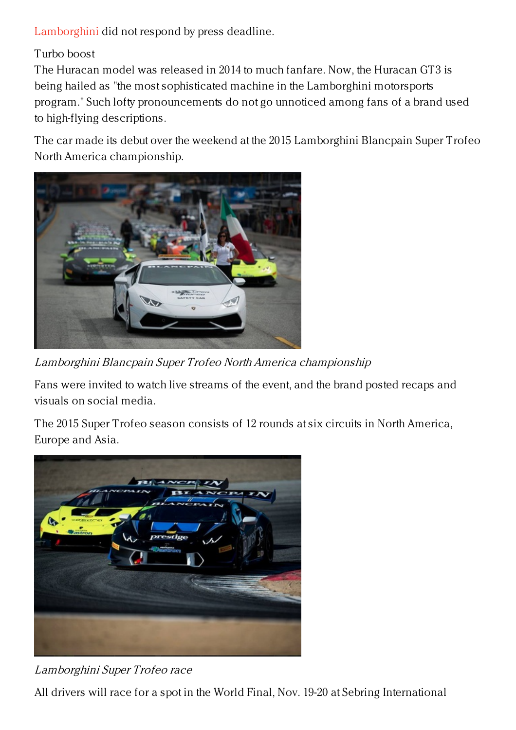[Lamborghini](http://www.lamborghini.com/en/home/) did not respond by press deadline.

Turbo boost

The Huracan model was released in 2014 to much fanfare. Now, the Huracan GT3 is being hailed as "the most sophisticated machine in the Lamborghini motorsports program." Such lofty pronouncements do not go unnoticed among fans of a brand used to high-flying descriptions.

The car made its debut over the weekend at the 2015 Lamborghini Blancpain Super Trofeo North America championship.



Lamborghini Blancpain Super Trofeo North America championship

Fans were invited to watch live streams of the event, and the brand posted recaps and visuals on social media.

The 2015 Super Trofeo season consists of 12 rounds at six circuits in North America, Europe and Asia.



## Lamborghini Super Trofeo race

All drivers will race for a spot in the World Final, Nov. 19-20 at Sebring International